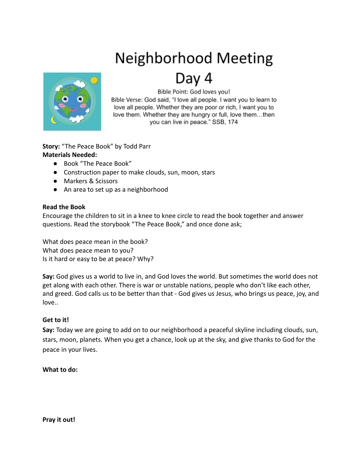# **Neighborhood Meeting**



## Day 4

Bible Point: God loves you!

Bible Verse: God said, "I love all people. I want you to learn to love all people. Whether they are poor or rich, I want you to love them. Whether they are hungry or full, love them...then you can live in peace." SSB, 174

**Story:** "The Peace Book" by Todd Parr **Materials Needed:**

- Book "The Peace Book"
- Construction paper to make clouds, sun, moon, stars
- Markers & Scissors
- An area to set up as a neighborhood

### **Read the Book**

Encourage the children to sit in a knee to knee circle to read the book together and answer questions. Read the storybook "The Peace Book," and once done ask;

What does peace mean in the book? What does peace mean to you? Is it hard or easy to be at peace? Why?

**Say:** God gives us a world to live in, and God loves the world. But sometimes the world does not get along with each other. There is war or unstable nations, people who don't like each other, and greed. God calls us to be better than that - God gives us Jesus, who brings us peace, joy, and love..

### **Get to it!**

**Say:** Today we are going to add on to our neighborhood a peaceful skyline including clouds, sun, stars, moon, planets. When you get a chance, look up at the sky, and give thanks to God for the peace in your lives.

### **What to do:**

**Pray it out!**